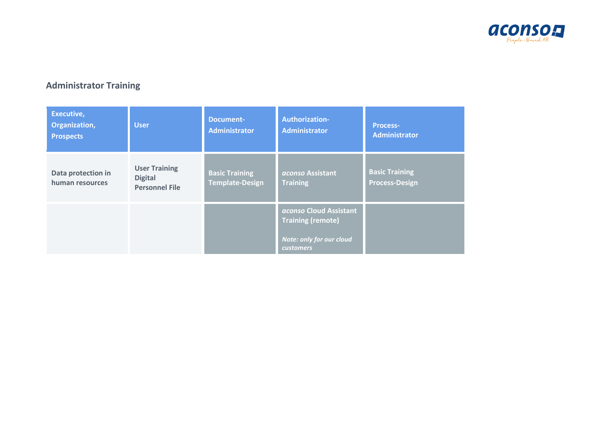

# **Administrator Training**

| Executive,<br>Organization,<br><b>Prospects</b> | <b>User</b>                                                     | <b>Document-</b><br><b>Administrator</b>        | Authorization-<br><b>Administrator</b>                                                             | <b>Process-</b><br><b>Administrator</b>        |
|-------------------------------------------------|-----------------------------------------------------------------|-------------------------------------------------|----------------------------------------------------------------------------------------------------|------------------------------------------------|
| Data protection in<br>human resources           | <b>User Training</b><br><b>Digital</b><br><b>Personnel File</b> | <b>Basic Training</b><br><b>Template-Design</b> | aconso Assistant<br><b>Training</b>                                                                | <b>Basic Training</b><br><b>Process-Design</b> |
|                                                 |                                                                 |                                                 | aconso Cloud Assistant<br><b>Training (remote)</b><br>Note: only for our cloud<br><b>customers</b> |                                                |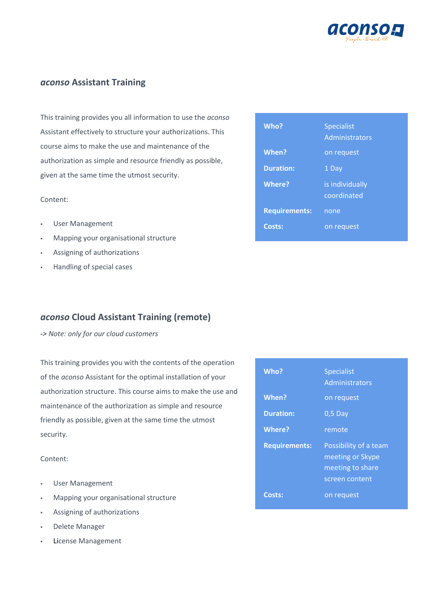

### *aconso* **Assistant Training**

This training provides you all information to use the *aconso* Assistant effectively to structure your authorizations. This course aims to make the use and maintenance of the authorization as simple and resource friendly as possible, given at the same time the utmost security.

#### Content:

- **User Management**
- Mapping your organisational structure
- Assigning of authorizations
- **Handling of special cases**

## *aconso* **Cloud Assistant Training (remote)**

*-> Note: only for our cloud customers*

This training provides you with the contents of the operation of the *aconso* Assistant for the optimal installation of your authorization structure. This course aims to make the use and maintenance of the authorization as simple and resource friendly as possible, given at the same time the utmost security.

Content:

- User Management
- Mapping your organisational structure
- Assigning of authorizations
- Delete Manager
- **License Management**

| Who?                 | <b>Specialist</b><br>Administrators |
|----------------------|-------------------------------------|
| When?                | on request                          |
| <b>Duration:</b>     | 1 Day                               |
| <b>Where?</b>        | is individually<br>coordinated      |
| <b>Requirements:</b> | none                                |
| Costs:               | on request                          |

| Who?                 | <b>Specialist</b><br>Administrators                                             |
|----------------------|---------------------------------------------------------------------------------|
| When?                | on request                                                                      |
| <b>Duration:</b>     | $0,5$ Day                                                                       |
| <b>Where?</b>        | remote                                                                          |
| <b>Requirements:</b> | Possibility of a team<br>meeting or Skype<br>meeting to share<br>screen content |
| Costs:               | on request                                                                      |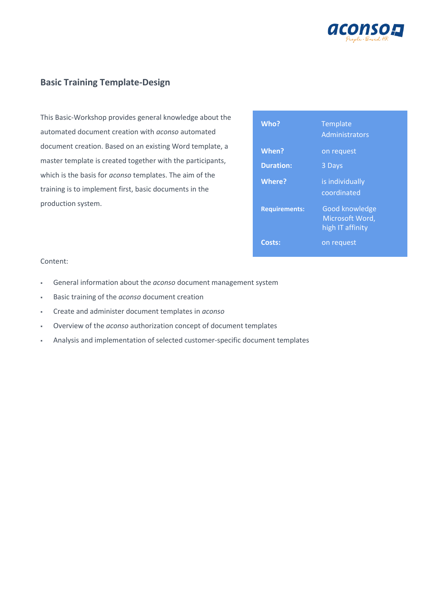

## **Basic Training Template-Design**

This Basic-Workshop provides general knowledge about the automated document creation with *aconso* automated document creation. Based on an existing Word template, a master template is created together with the participants, which is the basis for *aconso* templates. The aim of the training is to implement first, basic documents in the production system.

| Who?                 | Template<br>Administrators                                   |
|----------------------|--------------------------------------------------------------|
| When?                | on request                                                   |
| <b>Duration:</b>     | 3 Days                                                       |
| <b>Where?</b>        | is individually<br>coordinated                               |
| <b>Requirements:</b> | <b>Good knowledge</b><br>Microsoft Word,<br>high IT affinity |
| Costs:               | on request                                                   |

#### Content:

- General information about the *aconso* document management system
- Basic training of the *aconso* document creation
- Create and administer document templates in *aconso*
- Overview of the *aconso* authorization concept of document templates
- Analysis and implementation of selected customer-specific document templates